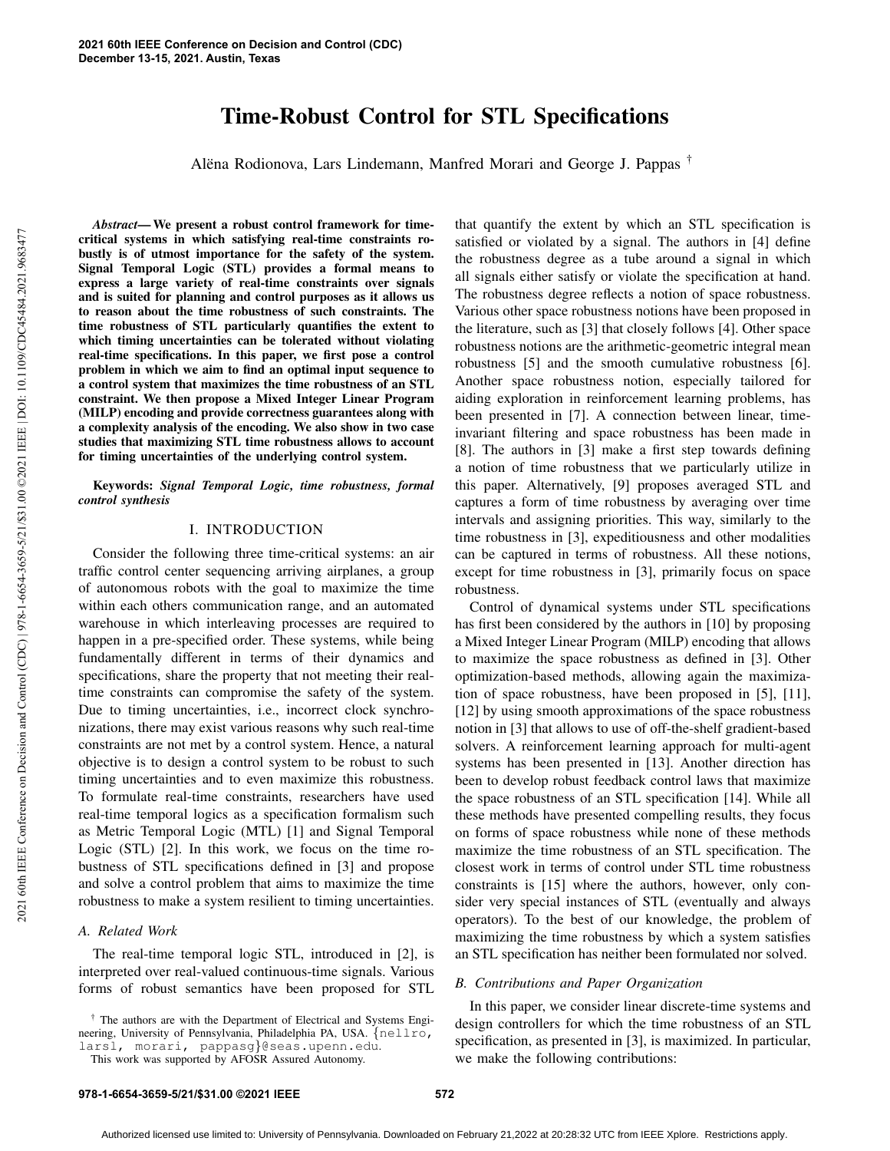# Time-Robust Control for STL Specifications

Alëna Rodionova, Lars Lindemann, Manfred Morari and George J. Pappas <sup>†</sup>

2021 60th IEEE Conference on Decision and Control (CDC) | 978-1-6654-3659-5/21/\$31.00 ©2021 IEEE | DOI: 10.1109/CDC45484.2021.9683477 0021 60th IEEE Conference on Decision and Control (CDC) | 978-1-6654-3659-5/21/831.00 ©2021 IEEE | DOI: 10.1109/CDC43442021.9683477

*Abstract*— We present a robust control framework for timecritical systems in which satisfying real-time constraints robustly is of utmost importance for the safety of the system. Signal Temporal Logic (STL) provides a formal means to express a large variety of real-time constraints over signals and is suited for planning and control purposes as it allows us to reason about the time robustness of such constraints. The time robustness of STL particularly quantifies the extent to which timing uncertainties can be tolerated without violating real-time specifications. In this paper, we first pose a control problem in which we aim to find an optimal input sequence to a control system that maximizes the time robustness of an STL constraint. We then propose a Mixed Integer Linear Program (MILP) encoding and provide correctness guarantees along with a complexity analysis of the encoding. We also show in two case studies that maximizing STL time robustness allows to account for timing uncertainties of the underlying control system.

Keywords: *Signal Temporal Logic, time robustness, formal control synthesis*

## I. INTRODUCTION

Consider the following three time-critical systems: an air traffic control center sequencing arriving airplanes, a group of autonomous robots with the goal to maximize the time within each others communication range, and an automated warehouse in which interleaving processes are required to happen in a pre-specified order. These systems, while being fundamentally different in terms of their dynamics and specifications, share the property that not meeting their realtime constraints can compromise the safety of the system. Due to timing uncertainties, i.e., incorrect clock synchronizations, there may exist various reasons why such real-time constraints are not met by a control system. Hence, a natural objective is to design a control system to be robust to such timing uncertainties and to even maximize this robustness. To formulate real-time constraints, researchers have used real-time temporal logics as a specification formalism such as Metric Temporal Logic (MTL) [1] and Signal Temporal Logic (STL) [2]. In this work, we focus on the time robustness of STL specifications defined in [3] and propose and solve a control problem that aims to maximize the time robustness to make a system resilient to timing uncertainties.

#### *A. Related Work*

The real-time temporal logic STL, introduced in [2], is interpreted over real-valued continuous-time signals. Various forms of robust semantics have been proposed for STL

† The authors are with the Department of Electrical and Systems Engineering, University of Pennsylvania, Philadelphia PA, USA. {nellro, larsl, morari, pappasg}@seas.upenn.edu.

This work was supported by AFOSR Assured Autonomy.

that quantify the extent by which an STL specification is satisfied or violated by a signal. The authors in [4] define the robustness degree as a tube around a signal in which all signals either satisfy or violate the specification at hand. The robustness degree reflects a notion of space robustness. Various other space robustness notions have been proposed in the literature, such as [3] that closely follows [4]. Other space robustness notions are the arithmetic-geometric integral mean robustness [5] and the smooth cumulative robustness [6]. Another space robustness notion, especially tailored for aiding exploration in reinforcement learning problems, has been presented in [7]. A connection between linear, timeinvariant filtering and space robustness has been made in [8]. The authors in [3] make a first step towards defining a notion of time robustness that we particularly utilize in this paper. Alternatively, [9] proposes averaged STL and captures a form of time robustness by averaging over time intervals and assigning priorities. This way, similarly to the time robustness in [3], expeditiousness and other modalities can be captured in terms of robustness. All these notions, except for time robustness in [3], primarily focus on space robustness.

Control of dynamical systems under STL specifications has first been considered by the authors in [10] by proposing a Mixed Integer Linear Program (MILP) encoding that allows to maximize the space robustness as defined in [3]. Other optimization-based methods, allowing again the maximization of space robustness, have been proposed in [5], [11], [12] by using smooth approximations of the space robustness notion in [3] that allows to use of off-the-shelf gradient-based solvers. A reinforcement learning approach for multi-agent systems has been presented in [13]. Another direction has been to develop robust feedback control laws that maximize the space robustness of an STL specification [14]. While all these methods have presented compelling results, they focus on forms of space robustness while none of these methods maximize the time robustness of an STL specification. The closest work in terms of control under STL time robustness constraints is [15] where the authors, however, only consider very special instances of STL (eventually and always operators). To the best of our knowledge, the problem of maximizing the time robustness by which a system satisfies an STL specification has neither been formulated nor solved.

## *B. Contributions and Paper Organization*

In this paper, we consider linear discrete-time systems and design controllers for which the time robustness of an STL specification, as presented in [3], is maximized. In particular, we make the following contributions: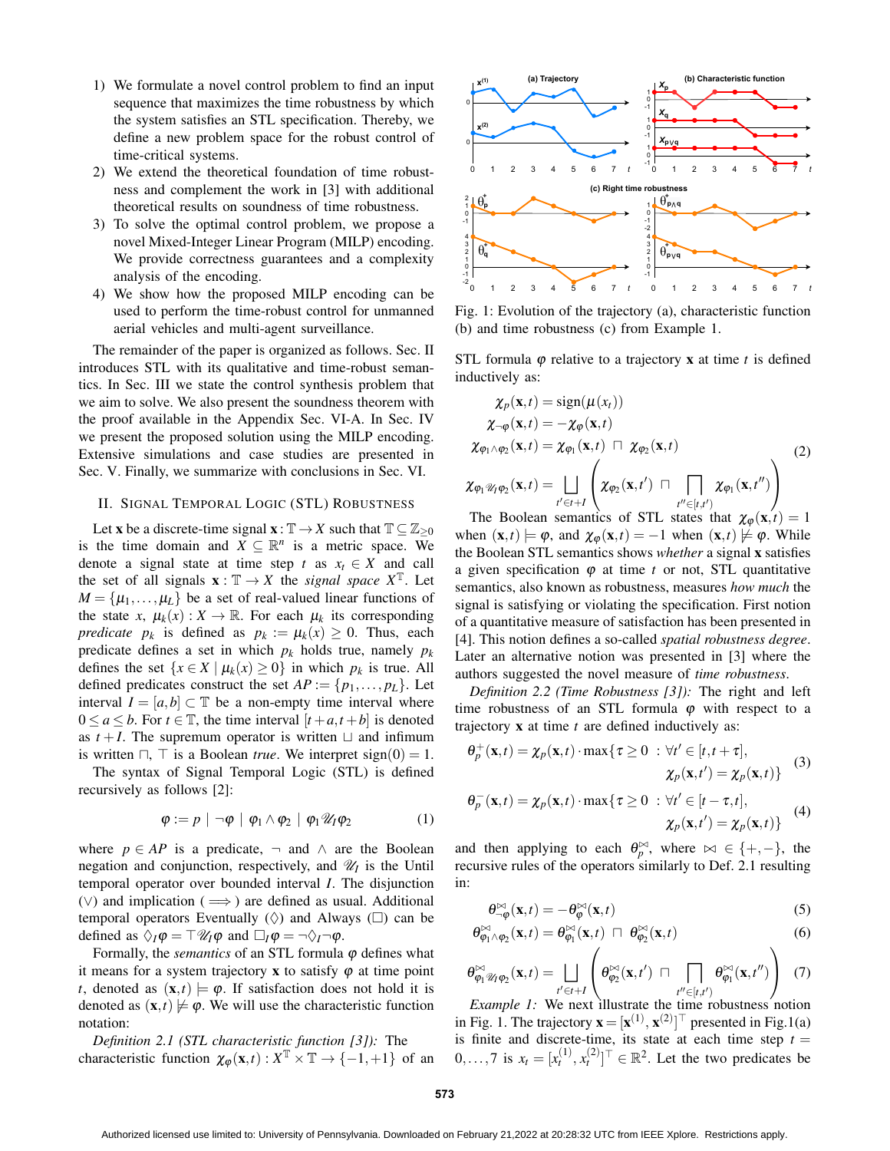- 1) We formulate a novel control problem to find an input sequence that maximizes the time robustness by which the system satisfies an STL specification. Thereby, we define a new problem space for the robust control of time-critical systems.
- 2) We extend the theoretical foundation of time robustness and complement the work in [3] with additional theoretical results on soundness of time robustness.
- 3) To solve the optimal control problem, we propose a novel Mixed-Integer Linear Program (MILP) encoding. We provide correctness guarantees and a complexity analysis of the encoding.
- 4) We show how the proposed MILP encoding can be used to perform the time-robust control for unmanned aerial vehicles and multi-agent surveillance.

The remainder of the paper is organized as follows. Sec. II introduces STL with its qualitative and time-robust semantics. In Sec. III we state the control synthesis problem that we aim to solve. We also present the soundness theorem with the proof available in the Appendix Sec. VI-A. In Sec. IV we present the proposed solution using the MILP encoding. Extensive simulations and case studies are presented in Sec. V. Finally, we summarize with conclusions in Sec. VI.

## II. SIGNAL TEMPORAL LOGIC (STL) ROBUSTNESS

Let **x** be a discrete-time signal  $\mathbf{x} : \mathbb{T} \to X$  such that  $\mathbb{T} \subseteq \mathbb{Z}_{\geq 0}$ is the time domain and  $\overline{X} \subseteq \mathbb{R}^n$  is a metric space. We denote a signal state at time step *t* as  $x_t \in X$  and call the set of all signals  $\mathbf{x} : \mathbb{T} \to X$  the *signal space*  $X^{\mathbb{T}}$ . Let  $M = {\mu_1, \ldots, \mu_L}$  be a set of real-valued linear functions of the state *x*,  $\mu_k(x)$  :  $X \to \mathbb{R}$ . For each  $\mu_k$  its corresponding *predicate*  $p_k$  is defined as  $p_k := \mu_k(x) \geq 0$ . Thus, each predicate defines a set in which  $p_k$  holds true, namely  $p_k$ defines the set  $\{x \in X \mid \mu_k(x) \ge 0\}$  in which  $p_k$  is true. All defined predicates construct the set  $AP := \{p_1, \ldots, p_L\}$ . Let interval  $I = [a, b] \subset \mathbb{T}$  be a non-empty time interval where  $0 \le a \le b$ . For  $t \in \mathbb{T}$ , the time interval  $[t + a, t + b]$  is denoted as  $t + I$ . The supremum operator is written  $\Box$  and infimum is written  $\Box$ ,  $\Box$  is a Boolean *true*. We interpret sign(0) = 1.

The syntax of Signal Temporal Logic (STL) is defined recursively as follows [2]:

$$
\varphi := p \mid \neg \varphi \mid \varphi_1 \wedge \varphi_2 \mid \varphi_1 \mathscr{U}_I \varphi_2 \tag{1}
$$

where  $p \in AP$  is a predicate,  $\neg$  and  $\wedge$  are the Boolean negation and conjunction, respectively, and  $\mathcal{U}_I$  is the Until temporal operator over bounded interval *I*. The disjunction  $(\vee)$  and implication ( $\implies$ ) are defined as usual. Additional temporal operators Eventually  $(\Diamond)$  and Always ( $\square$ ) can be defined as  $\Diamond_I \varphi = \top \mathscr{U}_I \varphi$  and  $\Box_I \varphi = \neg \Diamond_I \neg \varphi$ .

Formally, the *semantics* of an STL formula  $\varphi$  defines what it means for a system trajectory x to satisfy  $\varphi$  at time point *t*, denoted as  $(\mathbf{x}, t) \models \varphi$ . If satisfaction does not hold it is denoted as  $(\mathbf{x},t) \not\models \varphi$ . We will use the characteristic function notation:

*Definition 2.1 (STL characteristic function [3]):* The characteristic function  $\chi_{\varphi}(\mathbf{x},t): X^{\mathbb{T}} \times \mathbb{T} \to \{-1,+1\}$  of an



Fig. 1: Evolution of the trajectory (a), characteristic function (b) and time robustness (c) from Example 1.

STL formula  $\varphi$  relative to a trajectory **x** at time *t* is defined inductively as:

$$
\chi_{p}(\mathbf{x},t) = \text{sign}(\mu(x_t))
$$
\n
$$
\chi_{\neg \varphi}(\mathbf{x},t) = -\chi_{\varphi}(\mathbf{x},t)
$$
\n
$$
\chi_{\varphi_1 \wedge \varphi_2}(\mathbf{x},t) = \chi_{\varphi_1}(\mathbf{x},t) \sqcap \chi_{\varphi_2}(\mathbf{x},t)
$$
\n
$$
\chi_{\varphi_1 \mathscr{U}_1 \varphi_2}(\mathbf{x},t) = \bigsqcup_{t' \in t+1} \left( \chi_{\varphi_2}(\mathbf{x},t') \sqcap \prod_{t'' \in [t,t')} \chi_{\varphi_1}(\mathbf{x},t'') \right)
$$
\n(2)

The Boolean semantics of STL states that  $\chi_{\varphi}(\mathbf{x},t) = 1$ when  $(\mathbf{x},t) \models \varphi$ , and  $\chi_{\varphi}(\mathbf{x},t) = -1$  when  $(\mathbf{x},t) \not\models \varphi$ . While the Boolean STL semantics shows *whether* a signal x satisfies a given specification  $\varphi$  at time *t* or not, STL quantitative semantics, also known as robustness, measures *how much* the signal is satisfying or violating the specification. First notion of a quantitative measure of satisfaction has been presented in [4]. This notion defines a so-called *spatial robustness degree*. Later an alternative notion was presented in [3] where the authors suggested the novel measure of *time robustness*.

*Definition 2.2 (Time Robustness [3]):* The right and left time robustness of an STL formula  $\varphi$  with respect to a trajectory x at time *t* are defined inductively as:

$$
\theta_p^+(\mathbf{x},t) = \chi_p(\mathbf{x},t) \cdot \max\{\tau \ge 0 : \forall t' \in [t,t+\tau],\chi_p(\mathbf{x},t') = \chi_p(\mathbf{x},t)\}\tag{3}
$$

$$
\theta_p^-(\mathbf{x},t) = \chi_p(\mathbf{x},t) \cdot \max\{\tau \ge 0 : \forall t' \in [t-\tau,t],\chi_p(\mathbf{x},t') = \chi_p(\mathbf{x},t)\}\tag{4}
$$

and then applying to each  $\theta_p^{\bowtie}$ , where  $\bowtie \in \{+, -\}$ , the recursive rules of the operators similarly to Def. 2.1 resulting in:

$$
\theta_{-\varphi}^{\bowtie}(\mathbf{x},t) = -\theta_{\varphi}^{\bowtie}(\mathbf{x},t)
$$
\n(5)

$$
\theta_{\varphi_1 \wedge \varphi_2}^{\bowtie}(\mathbf{x},t) = \theta_{\varphi_1}^{\bowtie}(\mathbf{x},t) \ \sqcap \ \theta_{\varphi_2}^{\bowtie}(\mathbf{x},t) \tag{6}
$$

$$
\theta_{\varphi_1 \mathscr{U}_1 \varphi_2}^{\bowtie}(\mathbf{x},t) = \bigsqcup_{t' \in t+1} \left( \theta_{\varphi_2}^{\bowtie}(\mathbf{x},t') \ \sqcap \ \bigcap_{t'' \in [t,t']} \theta_{\varphi_1}^{\bowtie}(\mathbf{x},t'') \right) \tag{7}
$$

*Example 1:* We next illustrate the time robustness notion in Fig. 1. The trajectory  $\mathbf{x} = [\mathbf{x}^{(1)}, \mathbf{x}^{(2)}]^\top$  presented in Fig.1(a) is finite and discrete-time, its state at each time step  $t =$  $0, \ldots, 7$  is  $x_t = [x_t^{(1)}, x_t^{(2)}]^\top \in \mathbb{R}^2$ . Let the two predicates be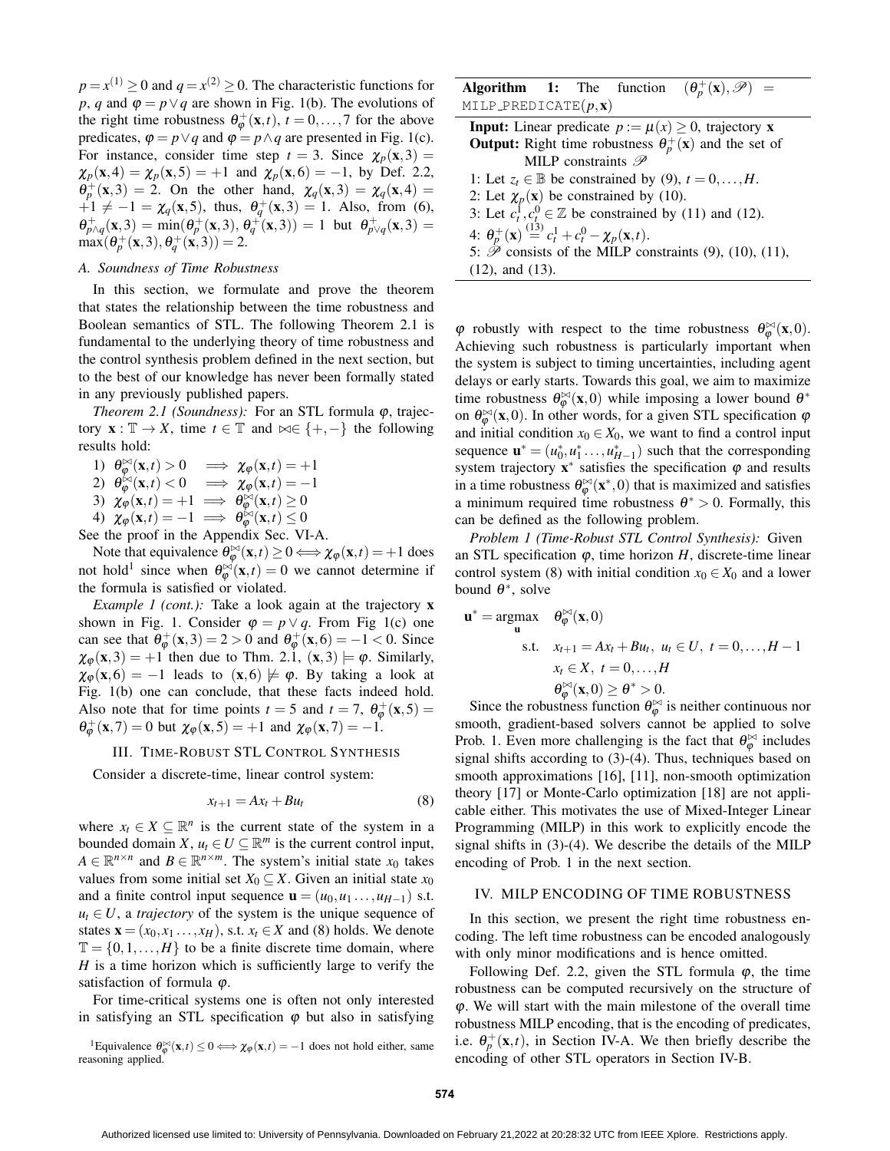$p = x^{(1)} \ge 0$  and  $q = x^{(2)} \ge 0$ . The characteristic functions for *p*, *q* and  $\varphi = p \vee q$  are shown in Fig. 1(b). The evolutions of the right time robustness  $\theta_{\varphi}^{+}(\mathbf{x},t)$ ,  $t = 0,...,7$  for the above predicates,  $\varphi = p \lor q$  and  $\varphi = p \land q$  are presented in Fig. 1(c). For instance, consider time step  $t = 3$ . Since  $\chi_p(x,3) =$  $\chi_p(x,4) = \chi_p(x,5) = +1$  and  $\chi_p(x,6) = -1$ , by Def. 2.2,  $\theta_p^+(x,3) = 2$ . On the other hand,  $\chi_q(x,3) = \chi_q(x,4) =$  $+1 \neq -1 = \chi_q(\mathbf{x}, 5)$ , thus,  $\theta_q^+(\mathbf{x}, 3) = 1$ . Also, from (6),  $\theta_{p\wedge q}^{+}(\mathbf{x},3) = \min(\theta_{p}^{+}(\mathbf{x},3), \theta_{q}^{+}(\mathbf{x},3)) = 1$  but  $\theta_{p\vee q}^{+}(\mathbf{x},3) = 1$  $\max(\theta_p^+(\mathbf{x},3), \theta_q^+(\mathbf{x},3)) = 2.$ 

#### *A. Soundness of Time Robustness*

In this section, we formulate and prove the theorem that states the relationship between the time robustness and Boolean semantics of STL. The following Theorem 2.1 is fundamental to the underlying theory of time robustness and the control synthesis problem defined in the next section, but to the best of our knowledge has never been formally stated in any previously published papers.

*Theorem 2.1 (Soundness):* For an STL formula *φ*, trajectory  $\mathbf{x} : \mathbb{T} \to X$ , time  $t \in \mathbb{T}$  and  $\bowtie \in \{+, -\}$  the following results hold:

1)  $\theta_{\varphi}^{\bowtie}(\mathbf{x},t) > 0 \implies \chi_{\varphi}(\mathbf{x},t) = +1$ 2)  $\theta_{\varphi}^{(x)}(x,t) < 0 \implies \chi_{\varphi}(x,t) = -1$ 3)  $\chi_{\varphi}(\mathbf{x},t) = +1 \implies \theta_{\varphi}^{\infty}(\mathbf{x},t) \ge 0$ 4)  $\chi_{\varphi}(\mathbf{x},t) = -1 \implies \theta_{\varphi}^{\infty}(\mathbf{x},t) \leq 0$ 

See the proof in the Appendix Sec. VI-A.

Note that equivalence  $\theta_{\varphi}^{\bowtie}(\mathbf{x},t) \ge 0 \Longleftrightarrow \chi_{\varphi}(\mathbf{x},t) = +1$  does not hold<sup>1</sup> since when  $\theta_{\varphi}^{(\infty)}(\mathbf{x},t) = 0$  we cannot determine if the formula is satisfied or violated.

*Example 1 (cont.):* Take a look again at the trajectory **x** shown in Fig. 1. Consider  $\varphi = p \vee q$ . From Fig 1(c) one can see that  $\theta_{\varphi}^+(\mathbf{x},3) = 2 > 0$  and  $\theta_{\varphi}^+(\mathbf{x},6) = -1 < 0$ . Since  $\chi_{\varphi}(\mathbf{x},3) = +1$  then due to Thm. 2.1,  $(\mathbf{x},3) \models \varphi$ . Similarly,  $\chi_{\varphi}(\mathbf{x}, 6) = -1$  leads to  $(\mathbf{x}, 6) \not\models \varphi$ . By taking a look at Fig. 1(b) one can conclude, that these facts indeed hold. Also note that for time points  $t = 5$  and  $t = 7$ ,  $\theta_{\varphi}^{+}(\mathbf{x}, 5) =$  $\theta_{\varphi}^{+}(\mathbf{x},7) = 0$  but  $\chi_{\varphi}(\mathbf{x},5) = +1$  and  $\chi_{\varphi}(\mathbf{x},7) = -1$ .

#### III. TIME-ROBUST STL CONTROL SYNTHESIS

Consider a discrete-time, linear control system:

$$
x_{t+1} = Ax_t + Bu_t \tag{8}
$$

where  $x_t \in X \subseteq \mathbb{R}^n$  is the current state of the system in a bounded domain *X*,  $u_t \in U \subseteq \mathbb{R}^m$  is the current control input,  $A \in \mathbb{R}^{n \times n}$  and  $B \in \mathbb{R}^{n \times m}$ . The system's initial state  $x_0$  takes values from some initial set  $X_0 \subseteq X$ . Given an initial state  $x_0$ and a finite control input sequence  $\mathbf{u} = (u_0, u_1, \dots, u_{H-1})$  s.t.  $u_t \in U$ , a *trajectory* of the system is the unique sequence of states  $\mathbf{x} = (x_0, x_1, \dots, x_H)$ , s.t.  $x_t \in X$  and (8) holds. We denote  $\mathbb{T} = \{0, 1, \ldots, H\}$  to be a finite discrete time domain, where *H* is a time horizon which is sufficiently large to verify the satisfaction of formula  $\varphi$ .

For time-critical systems one is often not only interested in satisfying an STL specification  $\varphi$  but also in satisfying

<sup>1</sup>Equivalence  $\theta_{\varphi}^{\bowtie}(x,t) \leq 0 \Longleftrightarrow \chi_{\varphi}(x,t) = -1$  does not hold either, same reasoning applied.

|                                  |  | <b>Algorithm 1:</b> The function $(\theta_p^+(x), \mathcal{P})$ = |  |
|----------------------------------|--|-------------------------------------------------------------------|--|
| MILP_PREDICATE $(p, \mathbf{x})$ |  |                                                                   |  |

**Input:** Linear predicate  $p := \mu(x) \ge 0$ , trajectory **x Output:** Right time robustness  $\theta_p^+(\mathbf{x})$  and the set of MILP constraints  $\mathscr P$ 1: Let  $z_t \in \mathbb{B}$  be constrained by (9),  $t = 0, \ldots, H$ . 2: Let  $\chi_p(\mathbf{x})$  be constrained by (10). 3: Let  $c_t^1$ ,  $c_t^0 \in \mathbb{Z}$  be constrained by (11) and (12). 4:  $\theta_p^+(\mathbf{x}) \stackrel{(13)}{=} c_t^1 + c_t^0 - \chi_p(\mathbf{x}, t).$ 5:  $\hat{\mathcal{P}}$  consists of the MILP constraints (9), (10), (11), (12), and (13).

 $\varphi$  robustly with respect to the time robustness  $\theta_{\varphi}^{\bowtie}(x,0)$ . Achieving such robustness is particularly important when the system is subject to timing uncertainties, including agent delays or early starts. Towards this goal, we aim to maximize time robustness  $\theta_{\varphi}^{\bowtie}(\mathbf{x},0)$  while imposing a lower bound  $\theta^*$ on  $\theta_{\varphi}^{\bowtie}(\mathbf{x},0)$ . In other words, for a given STL specification  $\varphi$ and initial condition  $x_0 \in X_0$ , we want to find a control input sequence  $\mathbf{u}^* = (u_0^*, u_1^*, \dots, u_{H-1}^*)$  such that the corresponding system trajectory  $\mathbf{x}^*$  satisfies the specification  $\varphi$  and results in a time robustness  $\theta_{\varphi}^{\bowtie}(\mathbf{x}^*,0)$  that is maximized and satisfies a minimum required time robustness  $\theta^* > 0$ . Formally, this can be defined as the following problem.

*Problem 1 (Time-Robust STL Control Synthesis):* Given an STL specification  $\varphi$ , time horizon *H*, discrete-time linear control system (8) with initial condition  $x_0 \in X_0$  and a lower bound  $\theta^*$ , solve

$$
\mathbf{u}^* = \underset{\mathbf{u}}{\operatorname{argmax}} \quad \theta_{\varphi}^{\bowtie}(\mathbf{x}, 0)
$$
  
s.t.  $x_{t+1} = Ax_t + Bu_t, u_t \in U, t = 0, ..., H - 1$   
 $x_t \in X, t = 0, ..., H$   
 $\theta_{\varphi}^{\bowtie}(\mathbf{x}, 0) \ge \theta^* > 0.$ 

Since the robustness function  $\theta_{\varphi}^{(\mathbf{x}, \mathbf{0})} \leq 0$ . smooth, gradient-based solvers cannot be applied to solve Prob. 1. Even more challenging is the fact that  $\theta_{\varphi}^{\bowtie}$  includes signal shifts according to (3)-(4). Thus, techniques based on smooth approximations [16], [11], non-smooth optimization theory [17] or Monte-Carlo optimization [18] are not applicable either. This motivates the use of Mixed-Integer Linear Programming (MILP) in this work to explicitly encode the signal shifts in (3)-(4). We describe the details of the MILP encoding of Prob. 1 in the next section.

# IV. MILP ENCODING OF TIME ROBUSTNESS

In this section, we present the right time robustness encoding. The left time robustness can be encoded analogously with only minor modifications and is hence omitted.

Following Def. 2.2, given the STL formula  $\varphi$ , the time robustness can be computed recursively on the structure of  $\varphi$ . We will start with the main milestone of the overall time robustness MILP encoding, that is the encoding of predicates, i.e.  $\theta_p^+(\mathbf{x},t)$ , in Section IV-A. We then briefly describe the encoding of other STL operators in Section IV-B.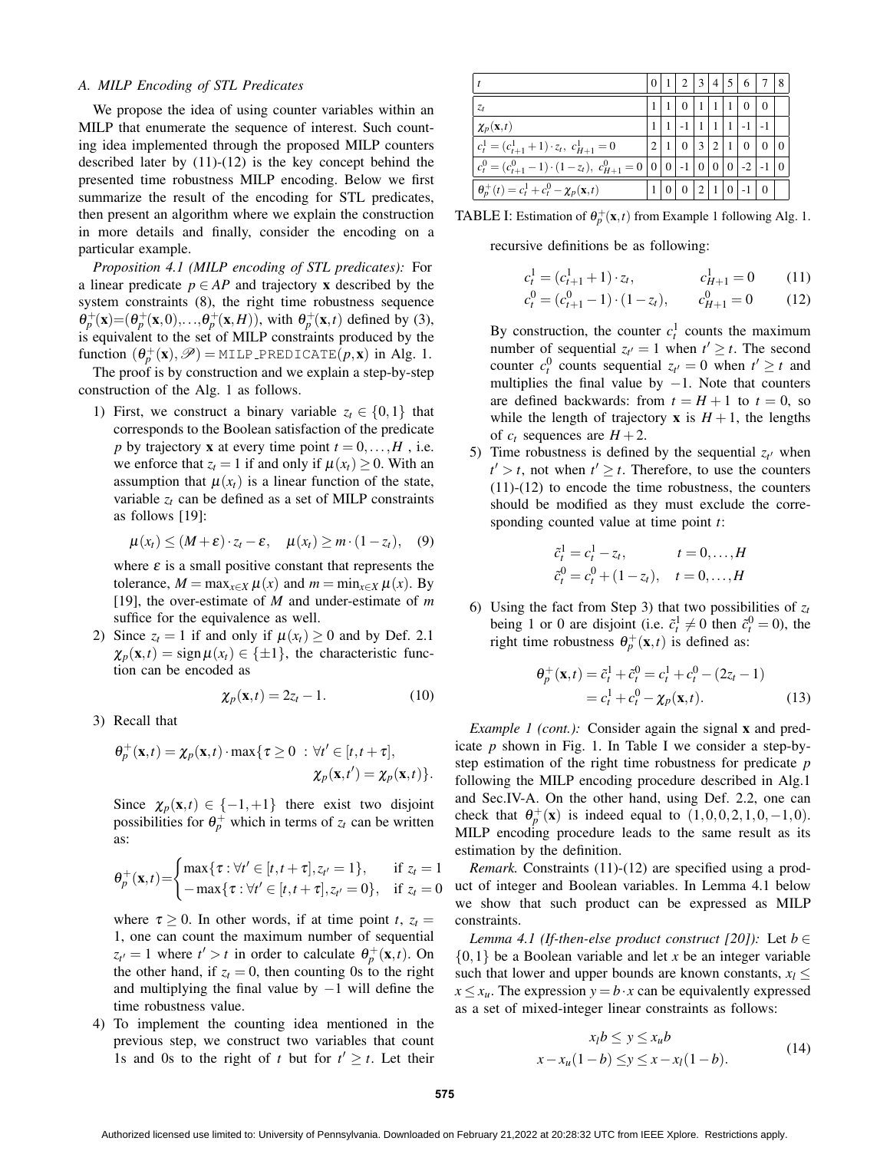## *A. MILP Encoding of STL Predicates*

We propose the idea of using counter variables within an MILP that enumerate the sequence of interest. Such counting idea implemented through the proposed MILP counters described later by (11)-(12) is the key concept behind the presented time robustness MILP encoding. Below we first summarize the result of the encoding for STL predicates, then present an algorithm where we explain the construction in more details and finally, consider the encoding on a particular example.

*Proposition 4.1 (MILP encoding of STL predicates):* For a linear predicate  $p \in AP$  and trajectory **x** described by the system constraints (8), the right time robustness sequence  $\theta_p^+(x) = (\theta_p^+(x,0),\ldots,\theta_p^+(x,H))$ , with  $\theta_p^+(x,t)$  defined by (3), is equivalent to the set of MILP constraints produced by the function  $(\theta_p^+(\mathbf{x}), \mathscr{P}) = \text{MILP\_PREDICATE}(p, \mathbf{x})$  in Alg. 1.

The proof is by construction and we explain a step-by-step construction of the Alg. 1 as follows.

1) First, we construct a binary variable  $z_t \in \{0,1\}$  that corresponds to the Boolean satisfaction of the predicate *p* by trajectory **x** at every time point  $t = 0, \ldots, H$ , i.e. we enforce that  $z_t = 1$  if and only if  $\mu(x_t) \geq 0$ . With an assumption that  $\mu(x_t)$  is a linear function of the state, variable  $z_t$  can be defined as a set of MILP constraints as follows [19]:

$$
\mu(x_t) \leq (M+\varepsilon) \cdot z_t - \varepsilon, \quad \mu(x_t) \geq m \cdot (1-z_t), \quad (9)
$$

where  $\varepsilon$  is a small positive constant that represents the tolerance,  $M = \max_{x \in X} \mu(x)$  and  $m = \min_{x \in X} \mu(x)$ . By [19], the over-estimate of *M* and under-estimate of *m* suffice for the equivalence as well.

2) Since  $z_t = 1$  if and only if  $\mu(x_t) \geq 0$  and by Def. 2.1  $\chi_p(\mathbf{x},t) = \text{sign}\,\mu(x_t) \in \{\pm 1\}$ , the characteristic function can be encoded as

$$
\chi_p(\mathbf{x},t) = 2z_t - 1. \tag{10}
$$

3) Recall that

$$
\theta_p^+(\mathbf{x},t) = \chi_p(\mathbf{x},t) \cdot \max\{\tau \ge 0 : \forall t' \in [t,t+\tau],
$$
  

$$
\chi_p(\mathbf{x},t') = \chi_p(\mathbf{x},t)\}.
$$

Since  $\chi_p(\mathbf{x},t) \in \{-1,+1\}$  there exist two disjoint possibilities for  $\theta_p^+$  which in terms of  $z_t$  can be written as:

$$
\theta_p^+(\mathbf{x},t) = \begin{cases} \max\{\tau : \forall t' \in [t, t + \tau], z_{t'} = 1\}, & \text{if } z_t = 1\\ -\max\{\tau : \forall t' \in [t, t + \tau], z_{t'} = 0\}, & \text{if } z_t = 0 \end{cases}
$$

where  $\tau \geq 0$ . In other words, if at time point *t*,  $z_t =$ 1, one can count the maximum number of sequential  $z_{t'} = 1$  where  $t' > t$  in order to calculate  $\theta_p^+$  (**x**,*t*). On the other hand, if  $z_t = 0$ , then counting 0s to the right and multiplying the final value by  $-1$  will define the time robustness value.

4) To implement the counting idea mentioned in the previous step, we construct two variables that count 1s and 0s to the right of *t* but for  $t' \geq t$ . Let their

|                                                            |                | 2       | 3 | $\overline{4}$ | 5              | 6    |          | 8 |
|------------------------------------------------------------|----------------|---------|---|----------------|----------------|------|----------|---|
|                                                            |                | $^{()}$ |   |                |                | 0    | $\theta$ |   |
|                                                            |                |         |   |                |                |      |          |   |
|                                                            |                | 0       | 3 |                |                | 0    |          |   |
|                                                            |                |         |   |                |                | $-2$ |          |   |
|                                                            |                |         |   |                | $\overline{0}$ |      | 0        |   |
| $c_t^0 = (c_{t+1}^0 - 1) \cdot (1 - z_t), \ c_{H+1}^0 = 0$ | $\overline{0}$ |         |   |                |                |      |          |   |

**TABLE I:** Estimation of  $\theta_p^+(x,t)$  from Example 1 following Alg. 1.

recursive definitions be as following:

$$
c_t^1 = (c_{t+1}^1 + 1) \cdot z_t, \qquad c_{H+1}^1 = 0 \qquad (11)
$$
  
\n
$$
c_t^0 = (c_{t+1}^0 - 1) \cdot (1 - z_t), \qquad c_{H+1}^0 = 0 \qquad (12)
$$

By construction, the counter  $c_t^1$  counts the maximum number of sequential  $z_{t'} = 1$  when  $t' \geq t$ . The second counter  $c_t^0$  counts sequential  $z_{t'} = 0$  when  $t' \geq t$  and multiplies the final value by  $-1$ . Note that counters are defined backwards: from  $t = H + 1$  to  $t = 0$ , so while the length of trajectory **x** is  $H + 1$ , the lengths of  $c_t$  sequences are  $H + 2$ .

5) Time robustness is defined by the sequential  $z_t$  when  $t' > t$ , not when  $t' \geq t$ . Therefore, to use the counters (11)-(12) to encode the time robustness, the counters should be modified as they must exclude the corresponding counted value at time point *t*:

$$
\tilde{c}_t^1 = c_t^1 - z_t, \qquad t = 0, ..., H\n\tilde{c}_t^0 = c_t^0 + (1 - z_t), \quad t = 0, ..., H
$$

6) Using the fact from Step 3) that two possibilities of  $z_t$ being 1 or 0 are disjoint (i.e.  $\tilde{c}_t^1 \neq 0$  then  $\tilde{c}_t^0 = 0$ ), the right time robustness  $\theta_p^+(\mathbf{x},t)$  is defined as:

$$
\theta_p^+(\mathbf{x}, t) = \tilde{c}_t^1 + \tilde{c}_t^0 = c_t^1 + c_t^0 - (2z_t - 1) \n= c_t^1 + c_t^0 - \chi_p(\mathbf{x}, t).
$$
\n(13)

*Example 1 (cont.):* Consider again the signal **x** and predicate *p* shown in Fig. 1. In Table I we consider a step-bystep estimation of the right time robustness for predicate *p* following the MILP encoding procedure described in Alg.1 and Sec.IV-A. On the other hand, using Def. 2.2, one can check that  $\theta_p^+({\bf x})$  is indeed equal to  $(1,0,0,2,1,0,-1,0)$ . MILP encoding procedure leads to the same result as its estimation by the definition.

*Remark.* Constraints (11)-(12) are specified using a product of integer and Boolean variables. In Lemma 4.1 below we show that such product can be expressed as MILP constraints.

*Lemma 4.1 (If-then-else product construct [20]):* Let  $b \in$ {0,1} be a Boolean variable and let *x* be an integer variable such that lower and upper bounds are known constants,  $x_l \leq$  $x \le x_u$ . The expression  $y = b \cdot x$  can be equivalently expressed as a set of mixed-integer linear constraints as follows:

$$
x_l b \le y \le x_u b
$$
  

$$
x - x_u(1 - b) \le y \le x - x_l(1 - b).
$$
 (14)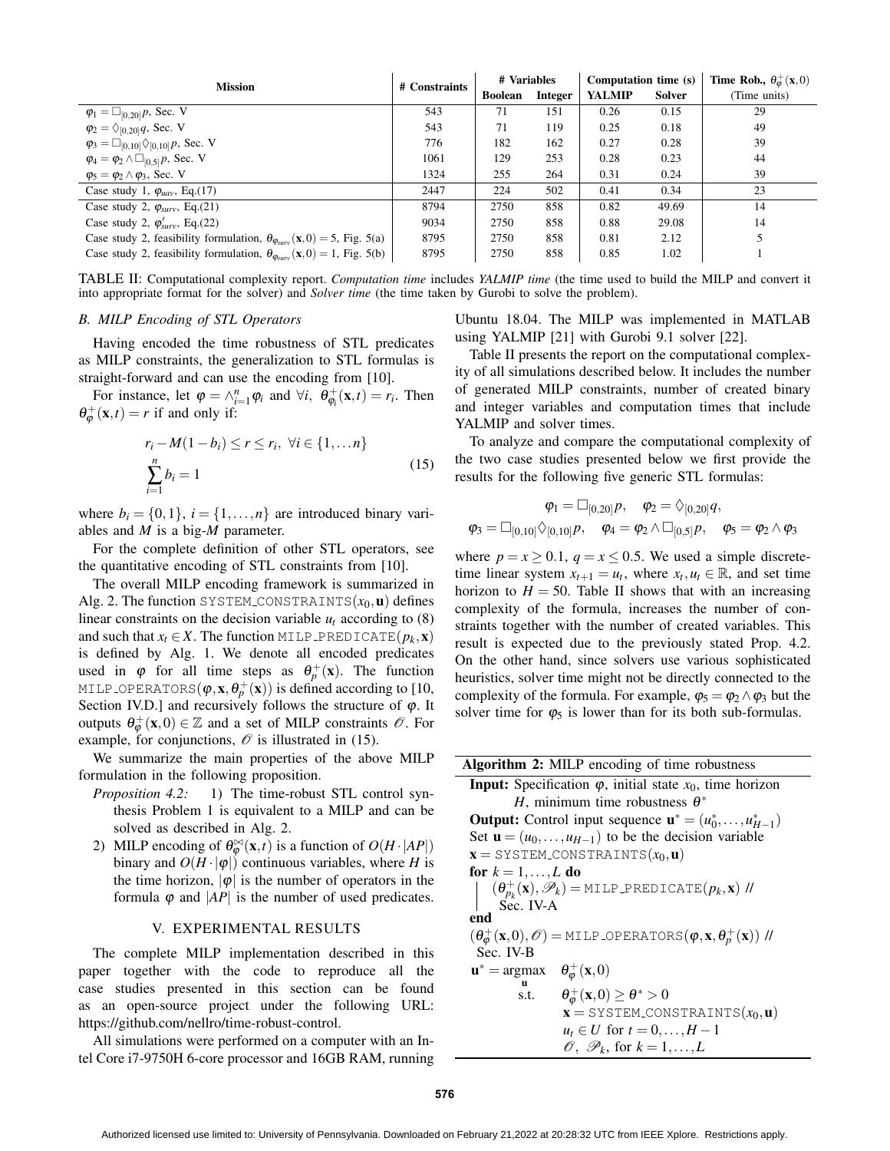| <b>Mission</b>                                                                                        | # Constraints | # Variables    |         | Computation time (s) |               | <b>Time Rob.,</b> $\theta_{\omega}^{+}(\mathbf{x},0)$ |  |
|-------------------------------------------------------------------------------------------------------|---------------|----------------|---------|----------------------|---------------|-------------------------------------------------------|--|
|                                                                                                       |               | <b>Boolean</b> | Integer | <b>YALMIP</b>        | <b>Solver</b> | (Time units)                                          |  |
| $\varphi_1 = \Box_{[0,20]} p$ , Sec. V                                                                | 543           | 71             | 151     | 0.26                 | 0.15          | 29                                                    |  |
| $\varphi_2 = \Diamond_{[0,20]} q$ , Sec. V                                                            | 543           | 71             | 119     | 0.25                 | 0.18          | 49                                                    |  |
| $\varphi_3 = \Box_{[0,10]} \Diamond_{[0,10]} p$ , Sec. V                                              | 776           | 182            | 162     | 0.27                 | 0.28          | 39                                                    |  |
| $\varphi_4 = \varphi_2 \wedge \Box_{[0,5]} p$ , Sec. V                                                | 1061          | 129            | 253     | 0.28                 | 0.23          | 44                                                    |  |
| $\varphi_5 = \varphi_2 \wedge \varphi_3$ , Sec. V                                                     | 1324          | 255            | 264     | 0.31                 | 0.24          | 39                                                    |  |
| Case study 1, $\varphi_{uav}$ , Eq.(17)                                                               | 2447          | 224            | 502     | 0.41                 | 0.34          | 23                                                    |  |
| Case study 2, $\varphi_{surv}$ , Eq.(21)                                                              | 8794          | 2750           | 858     | 0.82                 | 49.69         | 14                                                    |  |
| Case study 2, $\varphi'_{\text{surv}}$ , Eq.(22)                                                      | 9034          | 2750           | 858     | 0.88                 | 29.08         | 14                                                    |  |
| Case study 2, feasibility formulation, $\theta_{\varphi_{\text{corr}}}(\mathbf{x},0) = 5$ , Fig. 5(a) | 8795          | 2750           | 858     | 0.81                 | 2.12          |                                                       |  |
| Case study 2, feasibility formulation, $\theta_{\varphi_{\text{SUV}}}(\mathbf{x},0) = 1$ , Fig. 5(b)  | 8795          | 2750           | 858     | 0.85                 | 1.02          |                                                       |  |

TABLE II: Computational complexity report. *Computation time* includes *YALMIP time* (the time used to build the MILP and convert it into appropriate format for the solver) and *Solver time* (the time taken by Gurobi to solve the problem).

### *B. MILP Encoding of STL Operators*

Having encoded the time robustness of STL predicates as MILP constraints, the generalization to STL formulas is straight-forward and can use the encoding from [10].

For instance, let  $\varphi = \wedge_{i=1}^{n} \varphi_i$  and  $\forall i$ ,  $\theta_{\varphi_i}^+(\mathbf{x}, t) = r_i$ . Then  $\theta_{\varphi}^{+}(\mathbf{x},t) = r$  if and only if:

$$
r_i - M(1 - b_i) \le r \le r_i, \ \forall i \in \{1, \dots n\}
$$

$$
\sum_{i=1}^n b_i = 1
$$
 (15)

where  $b_i = \{0,1\}, i = \{1,\ldots,n\}$  are introduced binary variables and *M* is a big-*M* parameter.

For the complete definition of other STL operators, see the quantitative encoding of STL constraints from [10].

The overall MILP encoding framework is summarized in Alg. 2. The function SYSTEM\_CONSTRAINTS $(x_0, \mathbf{u})$  defines linear constraints on the decision variable  $u_t$  according to (8) and such that  $x_t \in X$ . The function MILP PREDICATE $(p_k, \mathbf{x})$ is defined by Alg. 1. We denote all encoded predicates used in  $\varphi$  for all time steps as  $\theta_p^+(\mathbf{x})$ . The function <code>MILP\_OPERATORS( $\pmb{\varphi}, \mathbf{x}, \pmb{\theta}^+_p(\mathbf{x})$ )</code> is defined according to [10, Section IV.D.] and recursively follows the structure of  $\varphi$ . It outputs  $\theta_{\varphi}^{+}(\mathbf{x},0) \in \mathbb{Z}$  and a set of MILP constraints  $\mathscr{O}$ . For example, for conjunctions,  $\mathcal O$  is illustrated in (15).

We summarize the main properties of the above MILP formulation in the following proposition.

- *Proposition 4.2:* 1) The time-robust STL control synthesis Problem 1 is equivalent to a MILP and can be solved as described in Alg. 2.
- 2) MILP encoding of  $\theta_{\varphi}^{\bowtie}(\mathbf{x},t)$  is a function of  $O(H \cdot |AP|)$ binary and  $O(H \cdot |\phi|)$  continuous variables, where *H* is the time horizon,  $|\phi|$  is the number of operators in the formula  $\varphi$  and  $|AP|$  is the number of used predicates.

#### V. EXPERIMENTAL RESULTS

The complete MILP implementation described in this paper together with the code to reproduce all the case studies presented in this section can be found as an open-source project under the following URL: https://github.com/nellro/time-robust-control.

All simulations were performed on a computer with an Intel Core i7-9750H 6-core processor and 16GB RAM, running Ubuntu 18.04. The MILP was implemented in MATLAB using YALMIP [21] with Gurobi 9.1 solver [22].

Table II presents the report on the computational complexity of all simulations described below. It includes the number of generated MILP constraints, number of created binary and integer variables and computation times that include YALMIP and solver times.

To analyze and compare the computational complexity of the two case studies presented below we first provide the results for the following five generic STL formulas:

$$
\varphi_1 = \Box_{[0,20]} p, \quad \varphi_2 = \Diamond_{[0,20]} q, \n\varphi_3 = \Box_{[0,10]} \Diamond_{[0,10]} p, \quad \varphi_4 = \varphi_2 \land \Box_{[0,5]} p, \quad \varphi_5 = \varphi_2 \land \varphi_3
$$

where  $p = x \ge 0.1$ ,  $q = x \le 0.5$ . We used a simple discretetime linear system  $x_{t+1} = u_t$ , where  $x_t, u_t \in \mathbb{R}$ , and set time horizon to  $H = 50$ . Table II shows that with an increasing complexity of the formula, increases the number of constraints together with the number of created variables. This result is expected due to the previously stated Prop. 4.2. On the other hand, since solvers use various sophisticated heuristics, solver time might not be directly connected to the complexity of the formula. For example,  $\varphi_5 = \varphi_2 \wedge \varphi_3$  but the solver time for  $\varphi_5$  is lower than for its both sub-formulas.

| <b>Algorithm 2:</b> MILP encoding of time robustness                                                               |                                                                                  |  |  |  |
|--------------------------------------------------------------------------------------------------------------------|----------------------------------------------------------------------------------|--|--|--|
| <b>Input:</b> Specification $\varphi$ , initial state $x_0$ , time horizon                                         |                                                                                  |  |  |  |
|                                                                                                                    | H, minimum time robustness $\theta^*$                                            |  |  |  |
|                                                                                                                    | <b>Output:</b> Control input sequence $\mathbf{u}^* = (u_0^*, \dots, u_{H-1}^*)$ |  |  |  |
|                                                                                                                    | Set $\mathbf{u} = (u_0, \dots, u_{H-1})$ to be the decision variable             |  |  |  |
|                                                                                                                    | $\mathbf{x} =$ SYSTEM_CONSTRAINTS $(x_0, \mathbf{u})$                            |  |  |  |
| for $k = 1, \ldots, L$ do                                                                                          |                                                                                  |  |  |  |
| $(\theta_{p_k}^+(\mathbf{x}), \mathscr{P}_k)$ = MILP_PREDICATE $(p_k, \mathbf{x})$ //                              |                                                                                  |  |  |  |
| $\sum_{i=1}^{n}$ IV-A                                                                                              |                                                                                  |  |  |  |
| end                                                                                                                |                                                                                  |  |  |  |
| $(\theta_{\varphi}^+(\mathbf{x},0),\mathscr{O})$ = MILP OPERATORS $(\varphi,\mathbf{x},\theta_p^+(\mathbf{x}))$ // |                                                                                  |  |  |  |
| Sec. IV-B                                                                                                          |                                                                                  |  |  |  |
| $\mathbf{u}^* = \arg \max \quad \theta_{\boldsymbol{\varphi}}^+(\mathbf{x},0)$                                     |                                                                                  |  |  |  |
| 11<br>s.t.                                                                                                         | $\theta_{\varphi}^{+}(\mathbf{x},0) \geq \theta^{*} > 0$                         |  |  |  |
|                                                                                                                    | $\mathbf{x} =$ SYSTEM_CONSTRAINTS $(x_0, \mathbf{u})$                            |  |  |  |
|                                                                                                                    |                                                                                  |  |  |  |
|                                                                                                                    | $u_t \in U$ for $t = 0, \ldots, H-1$                                             |  |  |  |
|                                                                                                                    | $\mathscr{O}, \mathscr{P}_k$ , for $k = 1, \ldots, L$                            |  |  |  |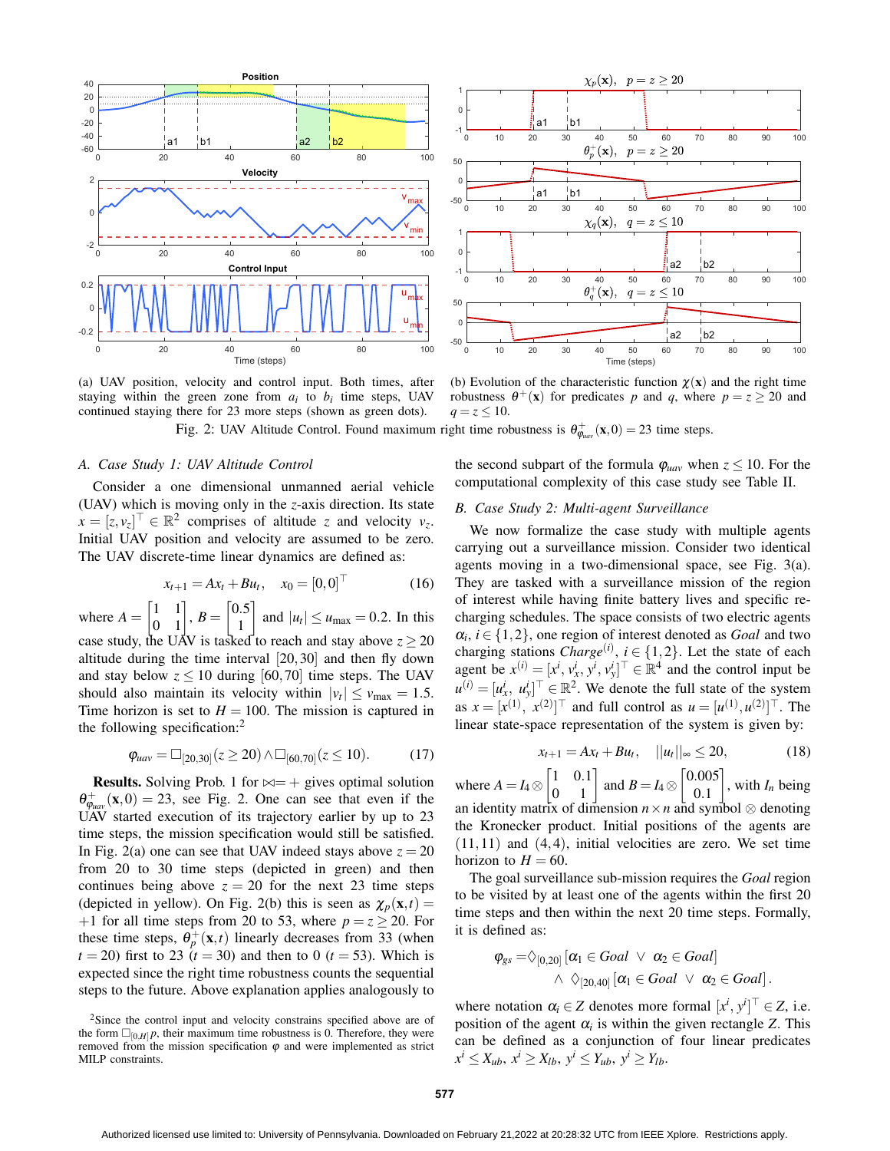

(a) UAV position, velocity and control input. Both times, after staying within the green zone from  $a_i$  to  $b_i$  time steps, UAV continued staying there for 23 more steps (shown as green dots).

Fig. 2: UAV Altitude Control. Found maximum right time robustness is  $\theta_{\varphi_{\text{uav}}}^+(\mathbf{x},0) = 23$  time steps.

## *A. Case Study 1: UAV Altitude Control*

Consider a one dimensional unmanned aerial vehicle (UAV) which is moving only in the *z*-axis direction. Its state  $x = [z, v_z]^\top \in \mathbb{R}^2$  comprises of altitude *z* and velocity *v<sub>z</sub>*. Initial UAV position and velocity are assumed to be zero. The UAV discrete-time linear dynamics are defined as:

$$
x_{t+1} = Ax_t + Bu_t, \quad x_0 = [0, 0]^\top \tag{16}
$$

where  $A = \begin{bmatrix} 1 & 1 \\ 0 & 1 \end{bmatrix}$ ,  $B = \begin{bmatrix} 0.5 \\ 1 \end{bmatrix}$ 1 and  $|u_t| \le u_{\text{max}} = 0.2$ . In this case study, the UAV is tasked to reach and stay above  $z \ge 20$ altitude during the time interval [20,30] and then fly down and stay below  $z \le 10$  during [60,70] time steps. The UAV should also maintain its velocity within  $|v_t| \le v_{\text{max}} = 1.5$ . Time horizon is set to  $H = 100$ . The mission is captured in the following specification:<sup>2</sup>

$$
\varphi_{uav} = \Box_{[20,30]}(z \ge 20) \land \Box_{[60,70]}(z \le 10). \tag{17}
$$

**Results.** Solving Prob. 1 for  $\bowtie = +$  gives optimal solution  $\theta_{\varphi_{uav}}^{+}(\mathbf{x},0) = 23$ , see Fig. 2. One can see that even if the UAV started execution of its trajectory earlier by up to 23 time steps, the mission specification would still be satisfied. In Fig. 2(a) one can see that UAV indeed stays above  $z = 20$ from 20 to 30 time steps (depicted in green) and then continues being above  $z = 20$  for the next 23 time steps (depicted in yellow). On Fig. 2(b) this is seen as  $\chi_p(\mathbf{x},t) =$ +1 for all time steps from 20 to 53, where  $p = z \ge 20$ . For these time steps,  $\theta_p^+(\mathbf{x},t)$  linearly decreases from 33 (when  $t = 20$ ) first to 23  $(t = 30)$  and then to 0  $(t = 53)$ . Which is expected since the right time robustness counts the sequential steps to the future. Above explanation applies analogously to



(b) Evolution of the characteristic function  $\chi(\mathbf{x})$  and the right time robustness  $\theta^+({\bf x})$  for predicates p and q, where  $p = z \ge 20$  and  $q = z \le 10$ .

the second subpart of the formula  $\varphi_{uav}$  when  $z \leq 10$ . For the computational complexity of this case study see Table II.

#### *B. Case Study 2: Multi-agent Surveillance*

We now formalize the case study with multiple agents carrying out a surveillance mission. Consider two identical agents moving in a two-dimensional space, see Fig. 3(a). They are tasked with a surveillance mission of the region of interest while having finite battery lives and specific recharging schedules. The space consists of two electric agents  $\alpha_i$ ,  $i \in \{1, 2\}$ , one region of interest denoted as *Goal* and two charging stations *Charge*<sup>(*i*)</sup>,  $i \in \{1, 2\}$ . Let the state of each agent be  $x^{(i)} = [x^i, v^i_x, y^i, v^i_y]^\top \in \mathbb{R}^4$  and the control input be  $u^{(i)} = [u_x^i, u_y^i]^\top \in \mathbb{R}^2$ . We denote the full state of the system as  $x = [x^{(1)}, x^{(2)}]^\top$  and full control as  $u = [u^{(1)}, u^{(2)}]^\top$ . The linear state-space representation of the system is given by:

$$
x_{t+1} = Ax_t + Bu_t, \quad ||u_t||_{\infty} \le 20, \tag{18}
$$

where  $A = I_4 \otimes \begin{bmatrix} 1 & 0.1 \\ 0 & 1 \end{bmatrix}$  and  $B = I_4 \otimes \begin{bmatrix} 0.005 \\ 0.1 \end{bmatrix}$ 0.1  $\Big]$ , with  $I_n$  being an identity matrix of dimension  $n \times n$  and symbol  $\otimes$  denoting the Kronecker product. Initial positions of the agents are  $(11, 11)$  and  $(4, 4)$ , initial velocities are zero. We set time horizon to  $H = 60$ .

The goal surveillance sub-mission requires the *Goal* region to be visited by at least one of the agents within the first 20 time steps and then within the next 20 time steps. Formally, it is defined as:

$$
\varphi_{gs} = \Diamond_{[0,20]} [\alpha_1 \in Goal \lor \alpha_2 \in Goal]
$$
  
 
$$
\land \ \Diamond_{[20,40]} [\alpha_1 \in Goal \lor \alpha_2 \in Goal].
$$

where notation  $\alpha_i \in Z$  denotes more formal  $[x^i, y^i]^\top \in Z$ , i.e. position of the agent  $\alpha_i$  is within the given rectangle *Z*. This can be defined as a conjunction of four linear predicates  $x^i \le X_{ub}, x^i \ge X_{lb}, y^i \le Y_{ub}, y^i \ge Y_{lb}.$ 

<sup>&</sup>lt;sup>2</sup>Since the control input and velocity constrains specified above are of the form  $\Box_{[0,H]} p$ , their maximum time robustness is 0. Therefore, they were removed from the mission specification  $\varphi$  and were implemented as strict MILP constraints.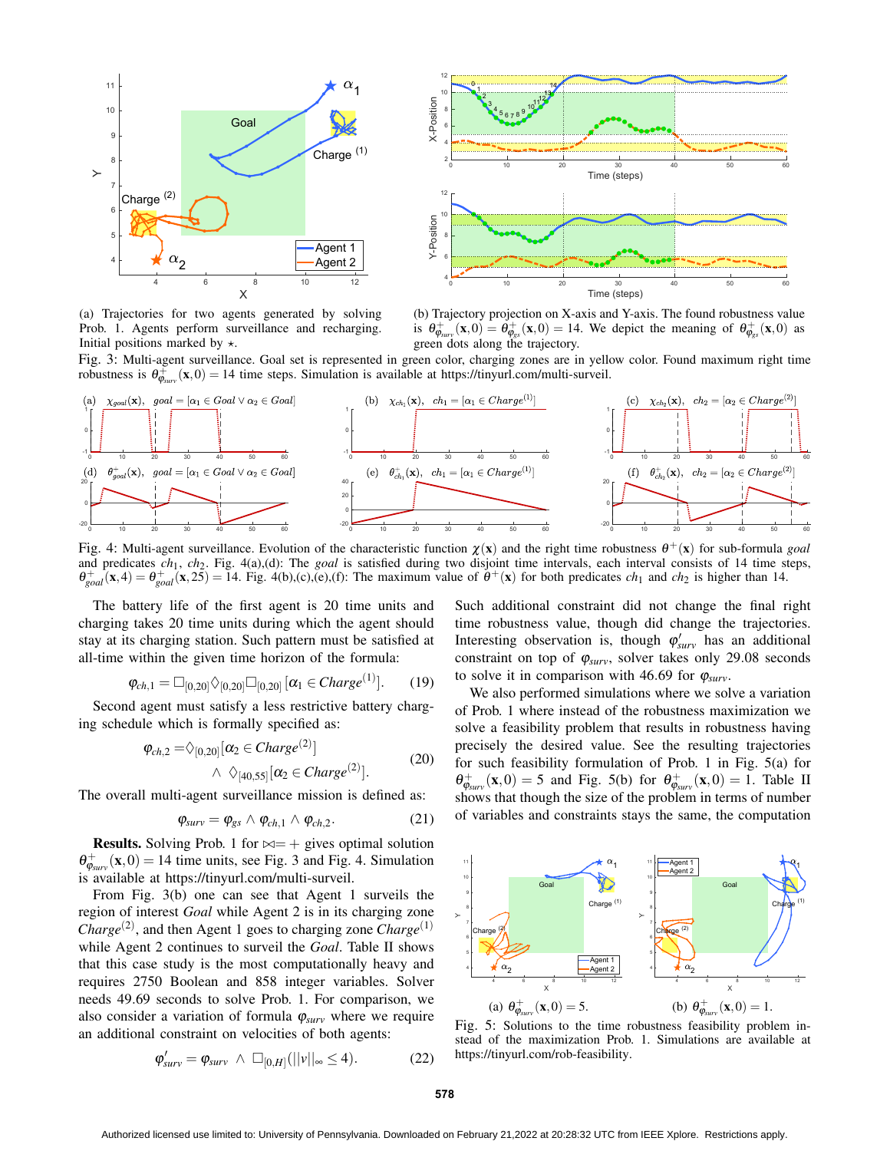

0 10 20 30 40 50 60 Time (steps) 2 L 4 6 H 8 H  $10 +$  $12<sub>r</sub>$ X-Position 0<sup>.</sup>... 1 2 3  $4E$  $5678$ ر 9  $10^{112}$ 13 14 0 10 20 30 40 50 60<br>Time (steps) 4 6 H 8 H  $10 +$ 12 Y-Position

(a) Trajectories for two agents generated by solving Prob. 1. Agents perform surveillance and recharging. Initial positions marked by  $\star$ .

(b) Trajectory projection on X-axis and Y-axis. The found robustness value is  $\theta_{\phi_{surv}}^+(x,0) = \dot{\theta}_{\phi_{gs}}^+(x,0) = 14$ . We depict the meaning of  $\theta_{\phi_{gs}}^+(x,0)$  as green dots along the trajectory.

Fig. 3: Multi-agent surveillance. Goal set is represented in green color, charging zones are in yellow color. Found maximum right time robustness is  $\theta_{\varphi_{surv}}^+(x,0) = 14$  time steps. Simulation is available at https://tinyurl.com/multi-surveil.



Fig. 4: Multi-agent surveillance. Evolution of the characteristic function  $\chi(x)$  and the right time robustness  $\theta^+(x)$  for sub-formula *goal* and predicates *ch*1, *ch*2. Fig. 4(a),(d): The *goal* is satisfied during two disjoint time intervals, each interval consists of 14 time steps,  $\theta_{goal}^+(x,4) = \theta_{goal}^+(x,25) = 14$ . Fig. 4(b),(c),(e),(f): The maximum value of  $\theta^+(x)$  for both predicates *ch*<sub>1</sub> and *ch*<sub>2</sub> is higher than 14.

The battery life of the first agent is 20 time units and charging takes 20 time units during which the agent should stay at its charging station. Such pattern must be satisfied at all-time within the given time horizon of the formula:

$$
\varphi_{ch,1} = \Box_{[0,20]} \Diamond_{[0,20]} \Box_{[0,20]} [\alpha_1 \in \mathit{Charge}^{(1)}]. \qquad (19)
$$

Second agent must satisfy a less restrictive battery charging schedule which is formally specified as:

$$
\varphi_{ch,2} = \diamondsuit_{[0,20]} [\alpha_2 \in Charge^{(2)}] \qquad \qquad (20)
$$
  
 
$$
\wedge \diamondsuit_{[40,55]} [\alpha_2 \in Charge^{(2)}].
$$

The overall multi-agent surveillance mission is defined as:

$$
\varphi_{surv} = \varphi_{gs} \wedge \varphi_{ch,1} \wedge \varphi_{ch,2}.
$$
 (21)

**Results.** Solving Prob. 1 for  $\bowtie = +$  gives optimal solution  $\theta_{\varphi_{\text{surv}}}^{+}(\mathbf{x},0) = 14$  time units, see Fig. 3 and Fig. 4. Simulation is available at https://tinyurl.com/multi-surveil.

From Fig. 3(b) one can see that Agent 1 surveils the region of interest *Goal* while Agent 2 is in its charging zone *Charge*<sup>(2)</sup>, and then Agent 1 goes to charging zone *Charge*<sup>(1)</sup> while Agent 2 continues to surveil the *Goal*. Table II shows that this case study is the most computationally heavy and requires 2750 Boolean and 858 integer variables. Solver needs 49.69 seconds to solve Prob. 1. For comparison, we also consider a variation of formula  $\varphi_{surv}$  where we require an additional constraint on velocities of both agents:

$$
\varphi'_{\text{surv}} = \varphi_{\text{surv}} \ \wedge \ \Box_{[0,H]}(||v||_{\infty} \le 4). \tag{22}
$$

Such additional constraint did not change the final right time robustness value, though did change the trajectories. Interesting observation is, though  $\varphi'_{surv}$  has an additional constraint on top of  $\varphi_{surv}$ , solver takes only 29.08 seconds to solve it in comparison with 46.69 for  $\varphi_{\textit{surv}}$ .

We also performed simulations where we solve a variation of Prob. 1 where instead of the robustness maximization we solve a feasibility problem that results in robustness having precisely the desired value. See the resulting trajectories for such feasibility formulation of Prob. 1 in Fig. 5(a) for  $\theta_{\varphi_{\text{surv}}}^{+}(\mathbf{x},0) = 5$  and Fig. 5(b) for  $\theta_{\varphi_{\text{surv}}}^{+}(\mathbf{x},0) = 1$ . Table II shows that though the size of the problem in terms of number of variables and constraints stays the same, the computation



Fig. 5: Solutions to the time robustness feasibility problem instead of the maximization Prob. 1. Simulations are available at https://tinyurl.com/rob-feasibility.

**578**